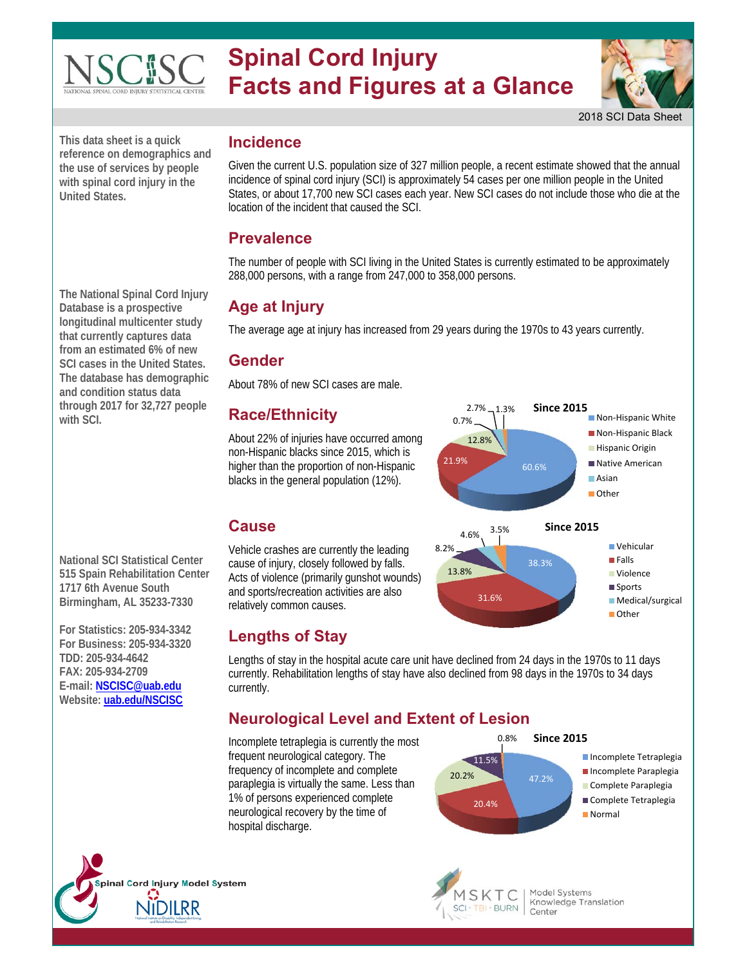

# **Spinal Cord Injury Facts and Figures at a Glance**



2018 SCI Data Sheet

■ Non-Hispanic White ■ Non-Hispanic Black **Hispanic Origin** Native American

> Vehicular **Falls** Violence Sports **Medical/surgical**

Other

Asian Other

**This data sheet is a quick reference on demographics and the use of services by people with spinal cord injury in the United States.** 

**The National Spinal Cord Injury Database is a prospective longitudinal multicenter study that currently captures data from an estimated 6% of new SCI cases in the United States. The database has demographic and condition status data through 2017 for 32,727 people with SCI.** 

**National SCI Statistical Center 515 Spain Rehabilitation Center 1717 6th Avenue South Birmingham, AL 35233-7330** 

**For Statistics: 205-934-3342 For Business: 205-934-3320 TDD: 205-934-4642 FAX: 205-934-2709 E-mail: NSCISC@uab.edu Website: uab.edu/NSCISC** 

oinal Cord Injury Model System

#### **Incidence**

Given the current U.S. population size of 327 million people, a recent estimate showed that the annual incidence of spinal cord injury (SCI) is approximately 54 cases per one million people in the United States, or about 17,700 new SCI cases each year. New SCI cases do not include those who die at the location of the incident that caused the SCI.

#### **Prevalence**

The number of people with SCI living in the United States is currently estimated to be approximately 288,000 persons, with a range from 247,000 to 358,000 persons.

# **Age at Injury**

The average age at injury has increased from 29 years during the 1970s to 43 years currently.

#### **Gender**

About 78% of new SCI cases are male.

# **Race/Ethnicity**

About 22% of injuries have occurred among non-Hispanic blacks since 2015, which is higher than the proportion of non-Hispanic blacks in the general population (12%).



Vehicle crashes are currently the leading cause of injury, closely followed by falls. Acts of violence (primarily gunshot wounds) and sports/recreation activities are also relatively common causes.



Lengths of stay in the hospital acute care unit have declined from 24 days in the 1970s to 11 days currently. Rehabilitation lengths of stay have also declined from 98 days in the 1970s to 34 days currently.

# **Neurological Level and Extent of Lesion**

Incomplete tetraplegia is currently the most frequent neurological category. The frequency of incomplete and complete paraplegia is virtually the same. Less than 1% of persons experienced complete neurological recovery by the time of hospital discharge.



60.6% 21.9%

31.6%

2.7% 1.3% **Since 2015**

38.3%

4.6% 3.5% **Since 2015**

12.8%

0.7%

13.8%

8.2%

- **Incomplete Tetraplegia** Incomplete Paraplegia Complete Paraplegia
- Complete Tetraplegia
- **Normal**



Model Systems Knowledge Translation